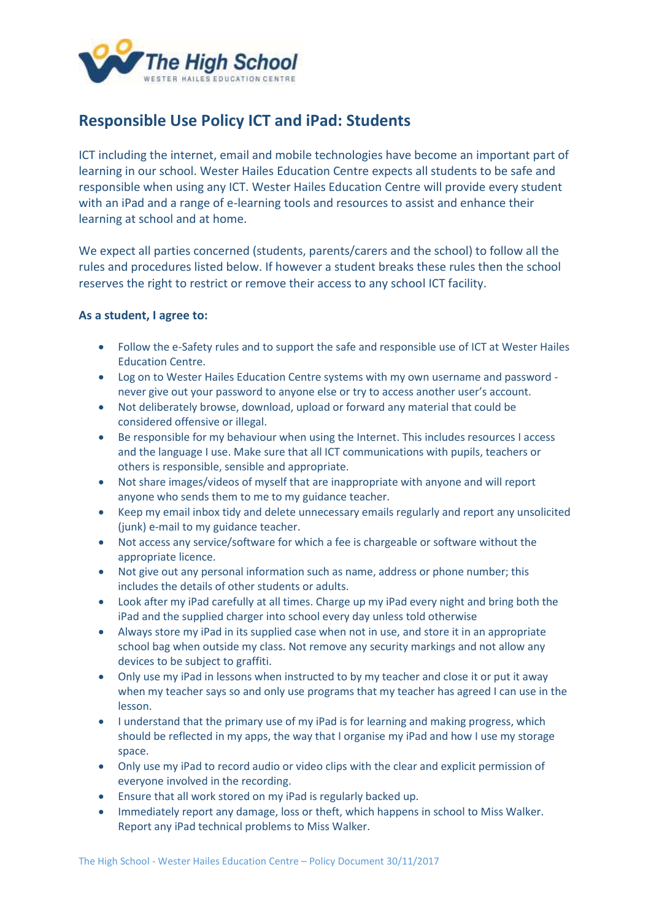

## **Responsible Use Policy ICT and iPad: Students**

ICT including the internet, email and mobile technologies have become an important part of learning in our school. Wester Hailes Education Centre expects all students to be safe and responsible when using any ICT. Wester Hailes Education Centre will provide every student with an iPad and a range of e-learning tools and resources to assist and enhance their learning at school and at home.

We expect all parties concerned (students, parents/carers and the school) to follow all the rules and procedures listed below. If however a student breaks these rules then the school reserves the right to restrict or remove their access to any school ICT facility.

## **As a student, I agree to:**

- Follow the e-Safety rules and to support the safe and responsible use of ICT at Wester Hailes Education Centre.
- Log on to Wester Hailes Education Centre systems with my own username and password never give out your password to anyone else or try to access another user's account.
- Not deliberately browse, download, upload or forward any material that could be considered offensive or illegal.
- Be responsible for my behaviour when using the Internet. This includes resources I access and the language I use. Make sure that all ICT communications with pupils, teachers or others is responsible, sensible and appropriate.
- Not share images/videos of myself that are inappropriate with anyone and will report anyone who sends them to me to my guidance teacher.
- Keep my email inbox tidy and delete unnecessary emails regularly and report any unsolicited (junk) e-mail to my guidance teacher.
- Not access any service/software for which a fee is chargeable or software without the appropriate licence.
- Not give out any personal information such as name, address or phone number; this includes the details of other students or adults.
- Look after my iPad carefully at all times. Charge up my iPad every night and bring both the iPad and the supplied charger into school every day unless told otherwise
- Always store my iPad in its supplied case when not in use, and store it in an appropriate school bag when outside my class. Not remove any security markings and not allow any devices to be subject to graffiti.
- Only use my iPad in lessons when instructed to by my teacher and close it or put it away when my teacher says so and only use programs that my teacher has agreed I can use in the lesson.
- I understand that the primary use of my iPad is for learning and making progress, which should be reflected in my apps, the way that I organise my iPad and how I use my storage space.
- Only use my iPad to record audio or video clips with the clear and explicit permission of everyone involved in the recording.
- Ensure that all work stored on my iPad is regularly backed up.
- Immediately report any damage, loss or theft, which happens in school to Miss Walker. Report any iPad technical problems to Miss Walker.